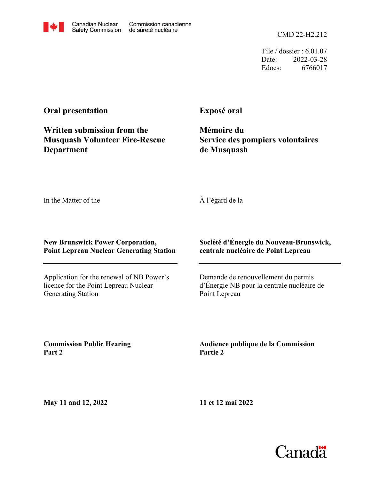File / dossier : 6.01.07 Date: 2022-03-28 Edocs: 6766017

# **Oral presentation**

**Written submission from the Musquash Volunteer Fire-Rescue Department**

Canadian Nuclear

**Safety Commission** 

Commission canadienne

de sûreté nucléaire

# **Exposé oral**

**Mémoire du Service des pompiers volontaires de Musquash**

In the Matter of the

À l'égard de la

## **New Brunswick Power Corporation, Point Lepreau Nuclear Generating Station**

Application for the renewal of NB Power's licence for the Point Lepreau Nuclear Generating Station

# **Société d'Énergie du Nouveau-Brunswick, centrale nucléaire de Point Lepreau**

Demande de renouvellement du permis d'Énergie NB pour la centrale nucléaire de Point Lepreau

**Commission Public Hearing Part 2**

**Audience publique de la Commission Partie 2**

**May 11 and 12, 2022**

**11 et 12 mai 2022**

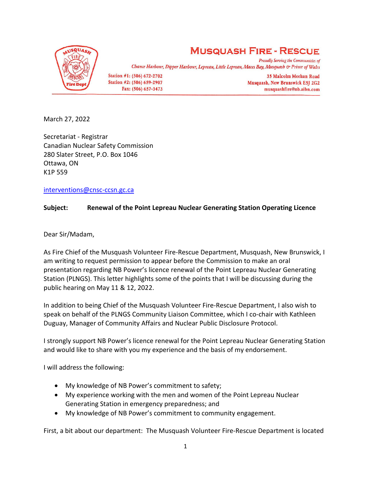

# **MUSQUASH FIRE - RESCUE**

**Proudly Serving the Communities of** Chance Harbour, Dipper Harbour, Lepreau, Little Lepreau, Maces Bay, Musquash & Prince of Wales

Station #1: (506) 672-2702 Station #2: (506) 659-2907 Fax: (506) 657-3473

35 Malcolm Meehan Road Musquash, New Brunswick E5J 2G2 musquashfire@nb.aibn.com

March 27, 2022

Secretariat - Registrar Canadian Nuclear Safety Commission 280 Slater Street, P.O. Box 1046 Ottawa, ON K1P 559

[interventions@cnsc-ccsn.gc.ca](mailto:interventions@cnsc-ccsn.gc.ca)

## **Subject: Renewal of the Point Lepreau Nuclear Generating Station Operating Licence**

Dear Sir/Madam,

As Fire Chief of the Musquash Volunteer Fire-Rescue Department, Musquash, New Brunswick, I am writing to request permission to appear before the Commission to make an oral presentation regarding NB Power's licence renewal of the Point Lepreau Nuclear Generating Station (PLNGS). This letter highlights some of the points that I will be discussing during the public hearing on May 11 & 12, 2022.

In addition to being Chief of the Musquash Volunteer Fire-Rescue Department, I also wish to speak on behalf of the PLNGS Community Liaison Committee, which I co-chair with Kathleen Duguay, Manager of Community Affairs and Nuclear Public Disclosure Protocol.

I strongly support NB Power's licence renewal for the Point Lepreau Nuclear Generating Station and would like to share with you my experience and the basis of my endorsement.

I will address the following:

- My knowledge of NB Power's commitment to safety;
- My experience working with the men and women of the Point Lepreau Nuclear Generating Station in emergency preparedness; and
- My knowledge of NB Power's commitment to community engagement.

First, a bit about our department: The Musquash Volunteer Fire-Rescue Department is located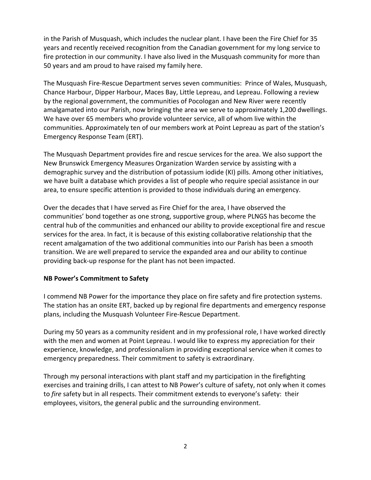in the Parish of Musquash, which includes the nuclear plant. I have been the Fire Chief for 35 years and recently received recognition from the Canadian government for my long service to fire protection in our community. I have also lived in the Musquash community for more than 50 years and am proud to have raised my family here.

The Musquash Fire-Rescue Department serves seven communities: Prince of Wales, Musquash, Chance Harbour, Dipper Harbour, Maces Bay, Little Lepreau, and Lepreau. Following a review by the regional government, the communities of Pocologan and New River were recently amalgamated into our Parish, now bringing the area we serve to approximately 1,200 dwellings. We have over 65 members who provide volunteer service, all of whom live within the communities. Approximately ten of our members work at Point Lepreau as part of the station's Emergency Response Team (ERT).

The Musquash Department provides fire and rescue services for the area. We also support the New Brunswick Emergency Measures Organization Warden service by assisting with a demographic survey and the distribution of potassium iodide (KI) pills. Among other initiatives, we have built a database which provides a list of people who require special assistance in our area, to ensure specific attention is provided to those individuals during an emergency.

Over the decades that I have served as Fire Chief for the area, I have observed the communities' bond together as one strong, supportive group, where PLNGS has become the central hub of the communities and enhanced our ability to provide exceptional fire and rescue services for the area. In fact, it is because of this existing collaborative relationship that the recent amalgamation of the two additional communities into our Parish has been a smooth transition. We are well prepared to service the expanded area and our ability to continue providing back-up response for the plant has not been impacted.

# **NB Power's Commitment to Safety**

I commend NB Power for the importance they place on fire safety and fire protection systems. The station has an onsite ERT, backed up by regional fire departments and emergency response plans, including the Musquash Volunteer Fire-Rescue Department.

During my 50 years as a community resident and in my professional role, I have worked directly with the men and women at Point Lepreau. I would like to express my appreciation for their experience, knowledge, and professionalism in providing exceptional service when it comes to emergency preparedness. Their commitment to safety is extraordinary.

Through my personal interactions with plant staff and my participation in the firefighting exercises and training drills, I can attest to NB Power's culture of safety, not only when it comes to *fire* safety but in all respects. Their commitment extends to everyone's safety: their employees, visitors, the general public and the surrounding environment.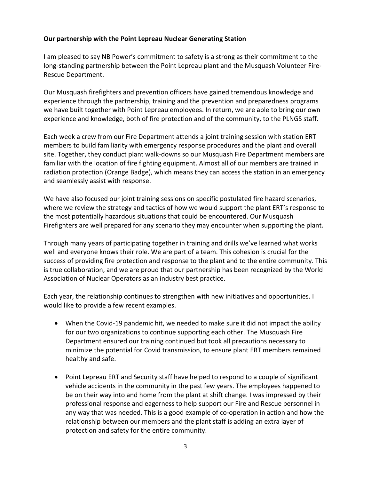#### **Our partnership with the Point Lepreau Nuclear Generating Station**

I am pleased to say NB Power's commitment to safety is a strong as their commitment to the long-standing partnership between the Point Lepreau plant and the Musquash Volunteer Fire-Rescue Department.

Our Musquash firefighters and prevention officers have gained tremendous knowledge and experience through the partnership, training and the prevention and preparedness programs we have built together with Point Lepreau employees. In return, we are able to bring our own experience and knowledge, both of fire protection and of the community, to the PLNGS staff.

Each week a crew from our Fire Department attends a joint training session with station ERT members to build familiarity with emergency response procedures and the plant and overall site. Together, they conduct plant walk-downs so our Musquash Fire Department members are familiar with the location of fire fighting equipment. Almost all of our members are trained in radiation protection (Orange Badge), which means they can access the station in an emergency and seamlessly assist with response.

We have also focused our joint training sessions on specific postulated fire hazard scenarios, where we review the strategy and tactics of how we would support the plant ERT's response to the most potentially hazardous situations that could be encountered. Our Musquash Firefighters are well prepared for any scenario they may encounter when supporting the plant.

Through many years of participating together in training and drills we've learned what works well and everyone knows their role. We are part of a team. This cohesion is crucial for the success of providing fire protection and response to the plant and to the entire community. This is true collaboration, and we are proud that our partnership has been recognized by the World Association of Nuclear Operators as an industry best practice.

Each year, the relationship continues to strengthen with new initiatives and opportunities. I would like to provide a few recent examples.

- When the Covid-19 pandemic hit, we needed to make sure it did not impact the ability for our two organizations to continue supporting each other. The Musquash Fire Department ensured our training continued but took all precautions necessary to minimize the potential for Covid transmission, to ensure plant ERT members remained healthy and safe.
- Point Lepreau ERT and Security staff have helped to respond to a couple of significant vehicle accidents in the community in the past few years. The employees happened to be on their way into and home from the plant at shift change. I was impressed by their professional response and eagerness to help support our Fire and Rescue personnel in any way that was needed. This is a good example of co-operation in action and how the relationship between our members and the plant staff is adding an extra layer of protection and safety for the entire community.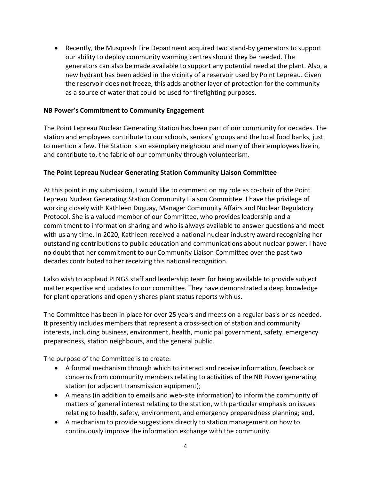• Recently, the Musquash Fire Department acquired two stand-by generators to support our ability to deploy community warming centres should they be needed. The generators can also be made available to support any potential need at the plant. Also, a new hydrant has been added in the vicinity of a reservoir used by Point Lepreau. Given the reservoir does not freeze, this adds another layer of protection for the community as a source of water that could be used for firefighting purposes.

## **NB Power's Commitment to Community Engagement**

The Point Lepreau Nuclear Generating Station has been part of our community for decades. The station and employees contribute to our schools, seniors' groups and the local food banks, just to mention a few. The Station is an exemplary neighbour and many of their employees live in, and contribute to, the fabric of our community through volunteerism.

#### **The Point Lepreau Nuclear Generating Station Community Liaison Committee**

At this point in my submission, I would like to comment on my role as co-chair of the Point Lepreau Nuclear Generating Station Community Liaison Committee. I have the privilege of working closely with Kathleen Duguay, Manager Community Affairs and Nuclear Regulatory Protocol. She is a valued member of our Committee, who provides leadership and a commitment to information sharing and who is always available to answer questions and meet with us any time. In 2020, Kathleen received a national nuclear industry award recognizing her outstanding contributions to public education and communications about nuclear power. I have no doubt that her commitment to our Community Liaison Committee over the past two decades contributed to her receiving this national recognition.

I also wish to applaud PLNGS staff and leadership team for being available to provide subject matter expertise and updates to our committee. They have demonstrated a deep knowledge for plant operations and openly shares plant status reports with us.

The Committee has been in place for over 25 years and meets on a regular basis or as needed. It presently includes members that represent a cross-section of station and community interests, including business, environment, health, municipal government, safety, emergency preparedness, station neighbours, and the general public.

The purpose of the Committee is to create:

- A formal mechanism through which to interact and receive information, feedback or concerns from community members relating to activities of the NB Power generating station (or adjacent transmission equipment);
- A means (in addition to emails and web-site information) to inform the community of matters of general interest relating to the station, with particular emphasis on issues relating to health, safety, environment, and emergency preparedness planning; and,
- A mechanism to provide suggestions directly to station management on how to continuously improve the information exchange with the community.